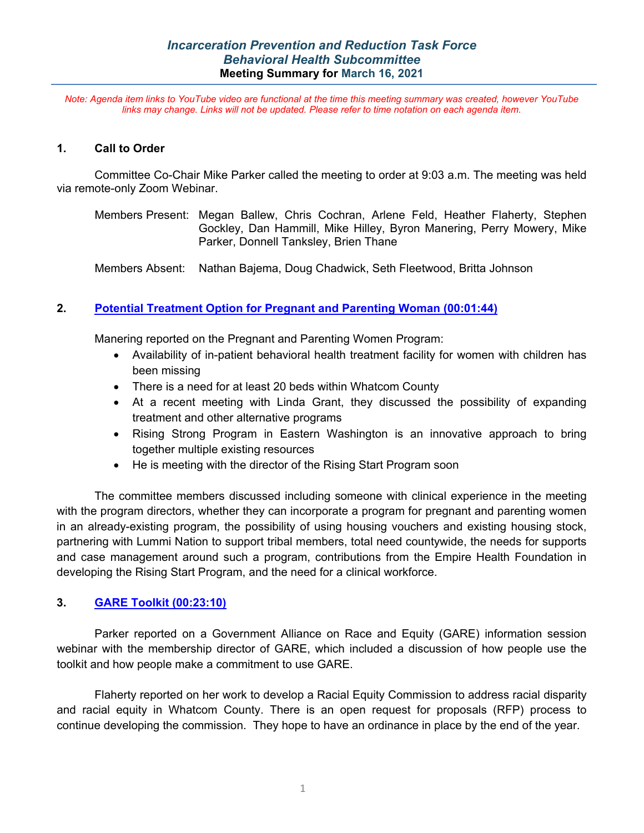*Note: Agenda item links to YouTube video are functional at the time this meeting summary was created, however YouTube links may change. Links will not be updated. Please refer to time notation on each agenda item.*

### **1. Call to Order**

Committee Co-Chair Mike Parker called the meeting to order at 9:03 a.m. The meeting was held via remote-only Zoom Webinar.

Members Present: Megan Ballew, Chris Cochran, Arlene Feld, Heather Flaherty, Stephen Gockley, Dan Hammill, Mike Hilley, Byron Manering, Perry Mowery, Mike Parker, Donnell Tanksley, Brien Thane

Members Absent: Nathan Bajema, Doug Chadwick, Seth Fleetwood, Britta Johnson

## **2. [Potential Treatment Option for Pregnant and Parenting Woman](https://youtu.be/ODSLiBQDvFc?t=100) (00:01:44)**

Manering reported on the Pregnant and Parenting Women Program:

- Availability of in-patient behavioral health treatment facility for women with children has been missing
- There is a need for at least 20 beds within Whatcom County
- At a recent meeting with Linda Grant, they discussed the possibility of expanding treatment and other alternative programs
- Rising Strong Program in Eastern Washington is an innovative approach to bring together multiple existing resources
- He is meeting with the director of the Rising Start Program soon

The committee members discussed including someone with clinical experience in the meeting with the program directors, whether they can incorporate a program for pregnant and parenting women in an already-existing program, the possibility of using housing vouchers and existing housing stock, partnering with Lummi Nation to support tribal members, total need countywide, the needs for supports and case management around such a program, contributions from the Empire Health Foundation in developing the Rising Start Program, and the need for a clinical workforce.

### **3. [GARE Toolkit](https://youtu.be/ODSLiBQDvFc?t=1390) (00:23:10)**

Parker reported on a Government Alliance on Race and Equity (GARE) information session webinar with the membership director of GARE, which included a discussion of how people use the toolkit and how people make a commitment to use GARE.

Flaherty reported on her work to develop a Racial Equity Commission to address racial disparity and racial equity in Whatcom County. There is an open request for proposals (RFP) process to continue developing the commission. They hope to have an ordinance in place by the end of the year.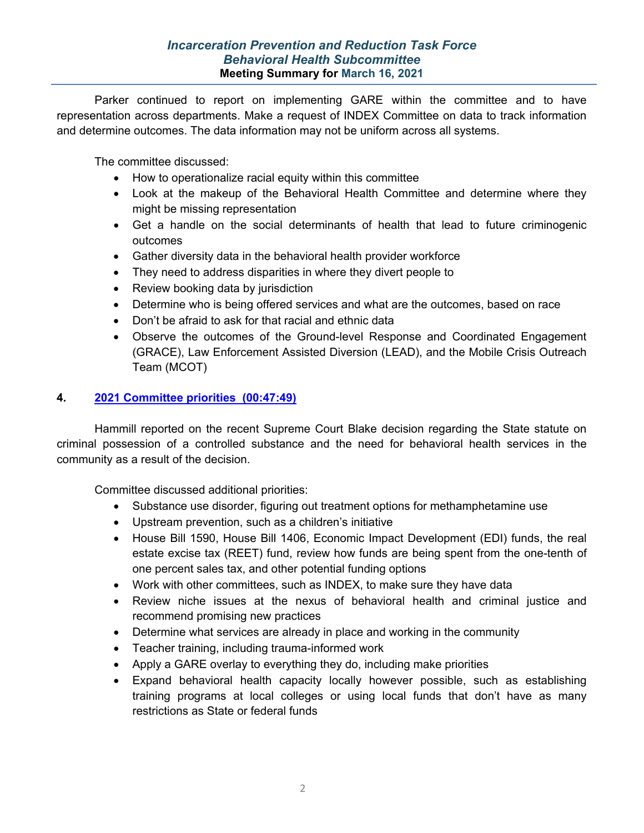Parker continued to report on implementing GARE within the committee and to have representation across departments. Make a request of INDEX Committee on data to track information and determine outcomes. The data information may not be uniform across all systems.

The committee discussed:

- How to operationalize racial equity within this committee
- Look at the makeup of the Behavioral Health Committee and determine where they might be missing representation
- Get a handle on the social determinants of health that lead to future criminogenic outcomes
- Gather diversity data in the behavioral health provider workforce
- They need to address disparities in where they divert people to
- Review booking data by jurisdiction
- Determine who is being offered services and what are the outcomes, based on race
- Don't be afraid to ask for that racial and ethnic data
- Observe the outcomes of the Ground-level Response and Coordinated Engagement (GRACE), Law Enforcement Assisted Diversion (LEAD), and the Mobile Crisis Outreach Team (MCOT)

## **4. [2021 Committee priorities](https://youtu.be/ODSLiBQDvFc?t=2867) (00:47:49)**

Hammill reported on the recent Supreme Court Blake decision regarding the State statute on criminal possession of a controlled substance and the need for behavioral health services in the community as a result of the decision.

Committee discussed additional priorities:

- Substance use disorder, figuring out treatment options for methamphetamine use
- Upstream prevention, such as a children's initiative
- House Bill 1590, House Bill 1406, Economic Impact Development (EDI) funds, the real estate excise tax (REET) fund, review how funds are being spent from the one-tenth of one percent sales tax, and other potential funding options
- Work with other committees, such as INDEX, to make sure they have data
- Review niche issues at the nexus of behavioral health and criminal justice and recommend promising new practices
- Determine what services are already in place and working in the community
- Teacher training, including trauma-informed work
- Apply a GARE overlay to everything they do, including make priorities
- Expand behavioral health capacity locally however possible, such as establishing training programs at local colleges or using local funds that don't have as many restrictions as State or federal funds